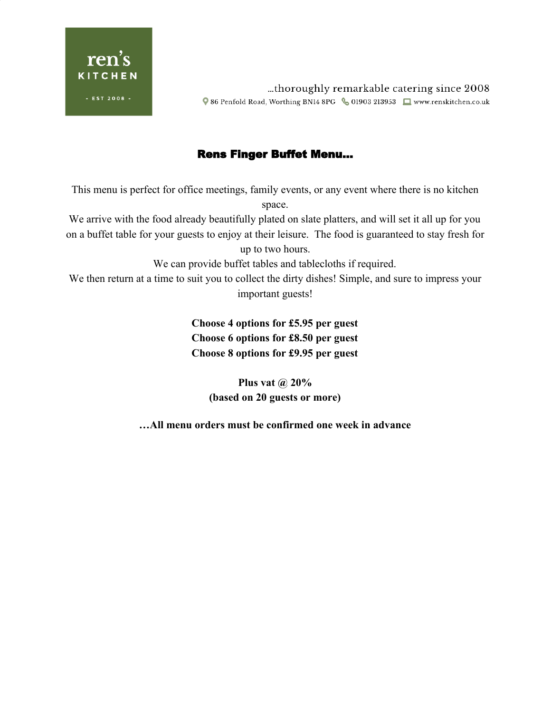

thoroughly remarkable catering since 2008 Q 86 Penfold Road, Worthing BN14 8PG & 01903 213953 ■ www.renskitchen.co.uk

## Rens Finger Buffet Menu…

This menu is perfect for office meetings, family events, or any event where there is no kitchen space.

We arrive with the food already beautifully plated on slate platters, and will set it all up for you on a buffet table for your guests to enjoy at their leisure. The food is guaranteed to stay fresh for up to two hours.

We can provide buffet tables and tablecloths if required.

We then return at a time to suit you to collect the dirty dishes! Simple, and sure to impress your important guests!

> **Choose 4 options for £5.95 per guest Choose 6 options for £8.50 per guest Choose 8 options for £9.95 per guest**

> > **Plus vat @ 20% (based on 20 guests or more)**

**…All menu orders must be confirmed one week in advance**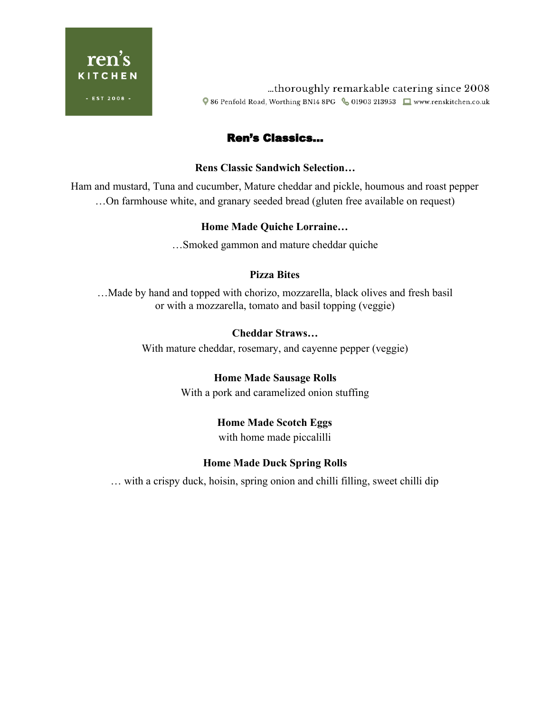

thoroughly remarkable catering since 2008 Q 86 Penfold Road, Worthing BN14 8PG & 01903 213953 ■ www.renskitchen.co.uk

# Ren's Classics…

#### **Rens Classic Sandwich Selection…**

Ham and mustard, Tuna and cucumber, Mature cheddar and pickle, houmous and roast pepper …On farmhouse white, and granary seeded bread (gluten free available on request)

### **Home Made Quiche Lorraine…**

…Smoked gammon and mature cheddar quiche

### **Pizza Bites**

…Made by hand and topped with chorizo, mozzarella, black olives and fresh basil or with a mozzarella, tomato and basil topping (veggie)

### **Cheddar Straws…**

With mature cheddar, rosemary, and cayenne pepper (veggie)

## **Home Made Sausage Rolls**

With a pork and caramelized onion stuffing

## **Home Made Scotch Eggs**

with home made piccalilli

## **Home Made Duck Spring Rolls**

… with a crispy duck, hoisin, spring onion and chilli filling, sweet chilli dip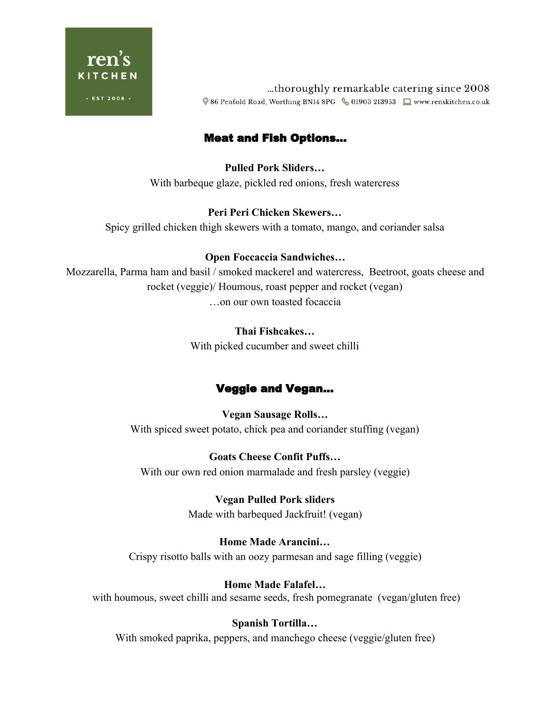

thoroughly remarkable catering since 2008 ● 86 Penfold Road, Worthing BN14 8PG & 01903 213953 ■ www.renskitchen.co.uk

# Meat and Fish Options…

**Pulled Pork Sliders…** With barbeque glaze, pickled red onions, fresh watercress

## **Peri Peri Chicken Skewers…**

Spicy grilled chicken thigh skewers with a tomato, mango, and coriander salsa

## **Open Foccaccia Sandwiches…**

Mozzarella, Parma ham and basil / smoked mackerel and watercress, Beetroot, goats cheese and rocket (veggie)/ Houmous, roast pepper and rocket (vegan) …on our own toasted focaccia

### **Thai Fishcakes…**

With picked cucumber and sweet chilli

# Veggie and Vegan…

**Vegan Sausage Rolls…** With spiced sweet potato, chick pea and coriander stuffing (vegan)

**Goats Cheese Confit Puffs…** With our own red onion marmalade and fresh parsley (veggie)

> **Vegan Pulled Pork sliders** Made with barbequed Jackfruit! (vegan)

## **Home Made Arancini…**

Crispy risotto balls with an oozy parmesan and sage filling (veggie)

## **Home Made Falafel…**

with houmous, sweet chilli and sesame seeds, fresh pomegranate (vegan/gluten free)

## **Spanish Tortilla…**

With smoked paprika, peppers, and manchego cheese (veggie/gluten free)